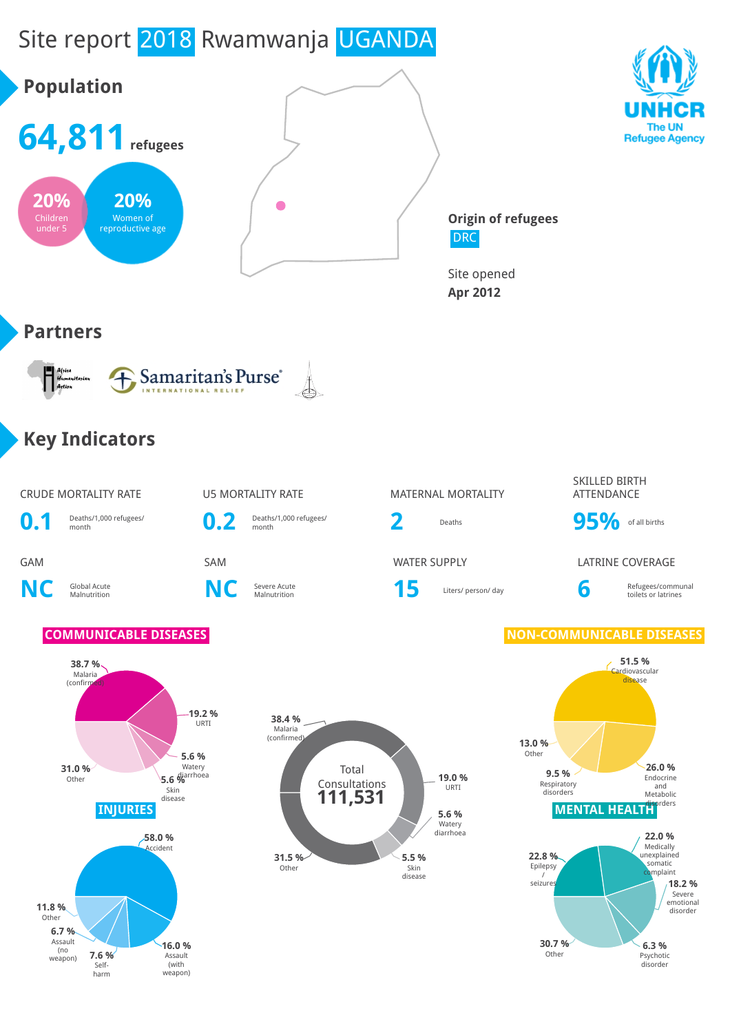

 $\bullet$ 



**Origin of refugees** DRC

Site opened **Apr 2012**

## **Partners**

**20%** Children under 5



## **Key Indicators**

**64,811refugees**

**20%** Women of reproductive age





**0.1** Deaths/1,000 refugees/ month **0.2** Deaths/1,000 refugees/

# CRUDE MORTALITY RATE **U5 MORTALITY RATE** MATERNAL MORTALITY

SKILLED BIRTH ATTENDANCE



Refugees/communal toilets or latrines



**NC** Global Acute



**C** Severe Acute<br>Malnutrition **NC** Severe Acute

### **COMMUNICABLE DISEASES NON-COMMUNICABLE DISEASES**







Severe Acute **15** Liters/ person/ day **6** Liters/ person/ day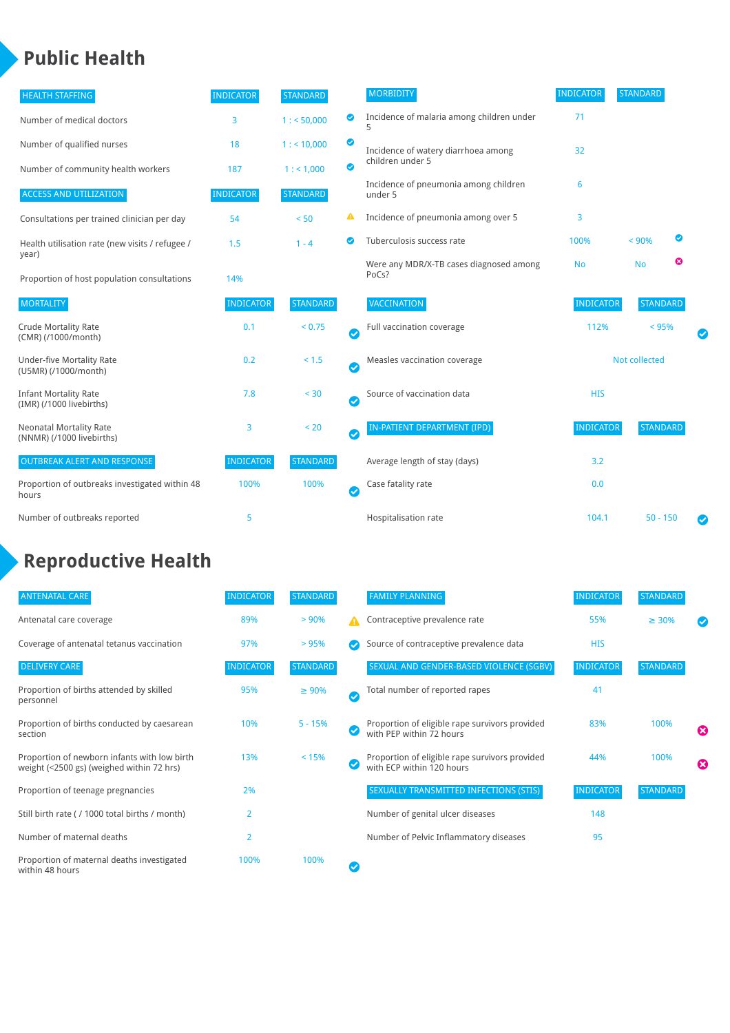## **Public Health**

| <b>HEALTH STAFFING</b>                                      | <b>INDICATOR</b> | <b>STANDARD</b> |           | <b>MORBIDITY</b>                                 | <b>INDICATOR</b>     | <b>STANDARD</b> |   |   |
|-------------------------------------------------------------|------------------|-----------------|-----------|--------------------------------------------------|----------------------|-----------------|---|---|
| Number of medical doctors                                   | 3                | 1: 50,000       | ◉         | Incidence of malaria among children under<br>5   | 71                   |                 |   |   |
| Number of qualified nurses                                  | 18               | 1:10,000        | ◙         | Incidence of watery diarrhoea among              | 32                   |                 |   |   |
| Number of community health workers                          | 187              | 1: 1,000        | ◙         | children under 5                                 |                      |                 |   |   |
| <b>ACCESS AND UTILIZATION</b>                               | <b>INDICATOR</b> | <b>STANDARD</b> |           | Incidence of pneumonia among children<br>under 5 | 6                    |                 |   |   |
| Consultations per trained clinician per day                 | 54               | < 50            | ▲         | Incidence of pneumonia among over 5              | 3                    |                 |   |   |
| Health utilisation rate (new visits / refugee /<br>year)    | 1.5              | $1 - 4$         | Ø         | Tuberculosis success rate                        | 100%                 | < 90%           | ◙ |   |
| Proportion of host population consultations                 | 14%              |                 |           | Were any MDR/X-TB cases diagnosed among<br>PoCs? | <b>No</b>            | <b>No</b>       | ☺ |   |
| <b>MORTALITY</b>                                            | <b>INDICATOR</b> | <b>STANDARD</b> |           | <b>VACCINATION</b>                               | <b>INDICATOR</b>     | <b>STANDARD</b> |   |   |
| <b>Crude Mortality Rate</b><br>(CMR) (/1000/month)          | 0.1              | < 0.75          | $\bullet$ | Full vaccination coverage                        | 112%                 | < 95%           |   |   |
| <b>Under-five Mortality Rate</b><br>(U5MR) (/1000/month)    | 0.2              | < 1.5           | Ø         | Measles vaccination coverage                     | <b>Not collected</b> |                 |   |   |
| <b>Infant Mortality Rate</b><br>(IMR) (/1000 livebirths)    | 7.8              | < 30            | Ø         | Source of vaccination data                       | <b>HIS</b>           |                 |   |   |
| <b>Neonatal Mortality Rate</b><br>(NNMR) (/1000 livebirths) | 3                | < 20            | $\bullet$ | <b>IN-PATIENT DEPARTMENT (IPD)</b>               | <b>INDICATOR</b>     | <b>STANDARD</b> |   |   |
| <b>OUTBREAK ALERT AND RESPONSE</b>                          | <b>INDICATOR</b> | <b>STANDARD</b> |           | Average length of stay (days)                    | 3.2                  |                 |   |   |
| Proportion of outbreaks investigated within 48<br>hours     | 100%             | 100%            | Ø         | Case fatality rate                               | 0.0                  |                 |   |   |
| Number of outbreaks reported                                | 5                |                 |           | Hospitalisation rate                             | 104.1                | $50 - 150$      |   | Ø |

## **Reproductive Health**

| <b>ANTENATAL CARE</b>                                                                     | <b>INDICATOR</b> | <b>STANDARD</b> |              | <b>FAMILY PLANNING</b>                                                      | <b>INDICATOR</b> | <b>STANDARD</b> |                       |
|-------------------------------------------------------------------------------------------|------------------|-----------------|--------------|-----------------------------------------------------------------------------|------------------|-----------------|-----------------------|
| Antenatal care coverage                                                                   | 89%              | > 90%           | А            | Contraceptive prevalence rate                                               | 55%              | $\geq 30\%$     |                       |
| Coverage of antenatal tetanus vaccination                                                 | 97%              | >95%            |              | Source of contraceptive prevalence data                                     | <b>HIS</b>       |                 |                       |
| <b>DELIVERY CARE</b>                                                                      | <b>INDICATOR</b> | <b>STANDARD</b> |              | SEXUAL AND GENDER-BASED VIOLENCE (SGBV)                                     | <b>INDICATOR</b> | <b>STANDARD</b> |                       |
| Proportion of births attended by skilled<br>personnel                                     | 95%              | $\geq 90\%$     | $\checkmark$ | Total number of reported rapes                                              | 41               |                 |                       |
| Proportion of births conducted by caesarean<br>section                                    | 10%              | $5 - 15%$       |              | Proportion of eligible rape survivors provided<br>with PEP within 72 hours  | 83%              | 100%            | $\boldsymbol{\omega}$ |
| Proportion of newborn infants with low birth<br>weight (<2500 gs) (weighed within 72 hrs) | 13%              | < 15%           |              | Proportion of eligible rape survivors provided<br>with ECP within 120 hours | 44%              | 100%            | $\boldsymbol{\Omega}$ |
| Proportion of teenage pregnancies                                                         | 2%               |                 |              | SEXUALLY TRANSMITTED INFECTIONS (STIS)                                      | <b>INDICATOR</b> | <b>STANDARD</b> |                       |
| Still birth rate (/ 1000 total births / month)                                            | $\overline{2}$   |                 |              | Number of genital ulcer diseases                                            | 148              |                 |                       |
| Number of maternal deaths                                                                 | $\overline{2}$   |                 |              | Number of Pelvic Inflammatory diseases                                      | 95               |                 |                       |
| Proportion of maternal deaths investigated<br>within 48 hours                             | 100%             | 100%            |              |                                                                             |                  |                 |                       |